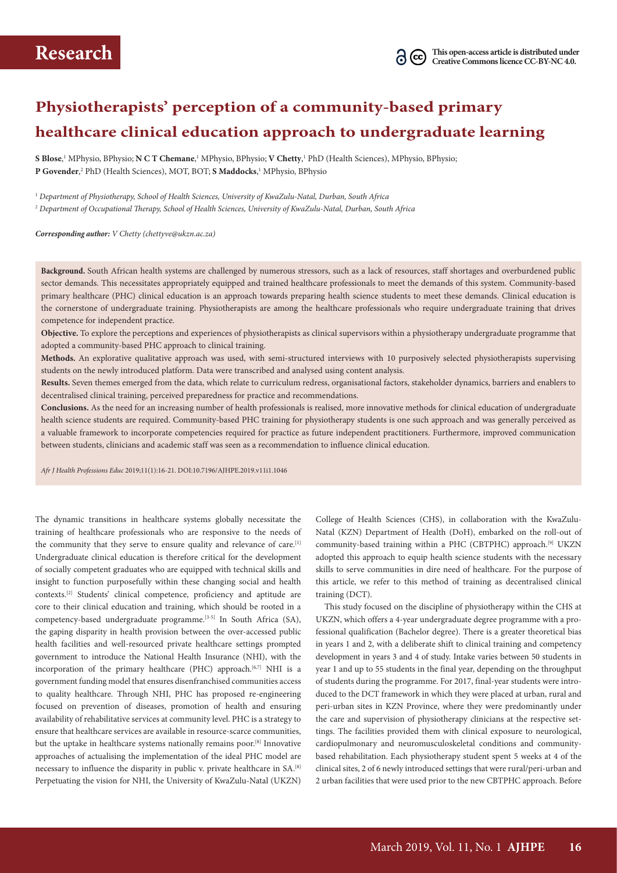# **Physiotherapists' perception of a community-based primary healthcare clinical education approach to undergraduate learning**

 $S$  **Blose,**' MPhysio, BPhysio;  $N$   $C$   $T$   $Chemane, '$  MPhysio, BPhysio;  $V$   $Chetty, '$  PhD (Health Sciences), MPhysio, BPhysio; P Govender,<sup>2</sup> PhD (Health Sciences), MOT, BOT; S Maddocks,<sup>1</sup> MPhysio, BPhysio

<sup>1</sup> *Department of Physiotherapy, School of Health Sciences, University of KwaZulu-Natal, Durban, South Africa* <sup>2</sup> *Department of Occupational Therapy, School of Health Sciences, University of KwaZulu-Natal, Durban, South Africa*

*Corresponding author: V Chetty (chettyve@ukzn.ac.za)*

**Background.** South African health systems are challenged by numerous stressors, such as a lack of resources, staff shortages and overburdened public sector demands. This necessitates appropriately equipped and trained healthcare professionals to meet the demands of this system. Community-based primary healthcare (PHC) clinical education is an approach towards preparing health science students to meet these demands. Clinical education is the cornerstone of undergraduate training. Physiotherapists are among the healthcare professionals who require undergraduate training that drives competence for independent practice.

**Objective.** To explore the perceptions and experiences of physiotherapists as clinical supervisors within a physiotherapy undergraduate programme that adopted a community-based PHC approach to clinical training.

**Methods.** An explorative qualitative approach was used, with semi-structured interviews with 10 purposively selected physiotherapists supervising students on the newly introduced platform. Data were transcribed and analysed using content analysis.

**Results.** Seven themes emerged from the data, which relate to curriculum redress, organisational factors, stakeholder dynamics, barriers and enablers to decentralised clinical training, perceived preparedness for practice and recommendations.

**Conclusions.** As the need for an increasing number of health professionals is realised, more innovative methods for clinical education of undergraduate health science students are required. Community-based PHC training for physiotherapy students is one such approach and was generally perceived as a valuable framework to incorporate competencies required for practice as future independent practitioners. Furthermore, improved communication between students, clinicians and academic staff was seen as a recommendation to influence clinical education.

*Afr J Health Professions Educ* 2019;11(1):16-21. DOI:10.7196/AJHPE.2019.v11i1.1046

The dynamic transitions in healthcare systems globally necessitate the training of healthcare professionals who are responsive to the needs of the community that they serve to ensure quality and relevance of care.<sup>[1]</sup> Undergraduate clinical education is therefore critical for the development of socially competent graduates who are equipped with technical skills and insight to function purposefully within these changing social and health contexts.[2] Students' clinical competence, proficiency and aptitude are core to their clinical education and training, which should be rooted in a competency-based undergraduate programme.[3-5] In South Africa (SA), the gaping disparity in health provision between the over-accessed public health facilities and well-resourced private healthcare settings prompted government to introduce the National Health Insurance (NHI), with the incorporation of the primary healthcare (PHC) approach.<sup>[6,7]</sup> NHI is a government funding model that ensures disenfranchised communities access to quality healthcare. Through NHI, PHC has proposed re-engineering focused on prevention of diseases, promotion of health and ensuring availability of rehabilitative services at community level. PHC is a strategy to ensure that healthcare services are available in resource-scarce communities, but the uptake in healthcare systems nationally remains poor.[8] Innovative approaches of actualising the implementation of the ideal PHC model are necessary to influence the disparity in public v. private healthcare in SA.[8] Perpetuating the vision for NHI, the University of KwaZulu-Natal (UKZN)

College of Health Sciences (CHS), in collaboration with the KwaZulu-Natal (KZN) Department of Health (DoH), embarked on the roll-out of community-based training within a PHC (CBTPHC) approach.<sup>[9]</sup> UKZN adopted this approach to equip health science students with the necessary skills to serve communities in dire need of healthcare. For the purpose of this article, we refer to this method of training as decentralised clinical training (DCT).

This study focused on the discipline of physiotherapy within the CHS at UKZN, which offers a 4-year undergraduate degree programme with a professional qualification (Bachelor degree). There is a greater theoretical bias in years 1 and 2, with a deliberate shift to clinical training and competency development in years 3 and 4 of study. Intake varies between 50 students in year 1 and up to 55 students in the final year, depending on the throughput of students during the programme. For 2017, final-year students were introduced to the DCT framework in which they were placed at urban, rural and peri-urban sites in KZN Province, where they were predominantly under the care and supervision of physiotherapy clinicians at the respective settings. The facilities provided them with clinical exposure to neurological, cardiopulmonary and neuromusculoskeletal conditions and communitybased rehabilitation. Each physiotherapy student spent 5 weeks at 4 of the clinical sites, 2 of 6 newly introduced settings that were rural/peri-urban and 2 urban facilities that were used prior to the new CBTPHC approach. Before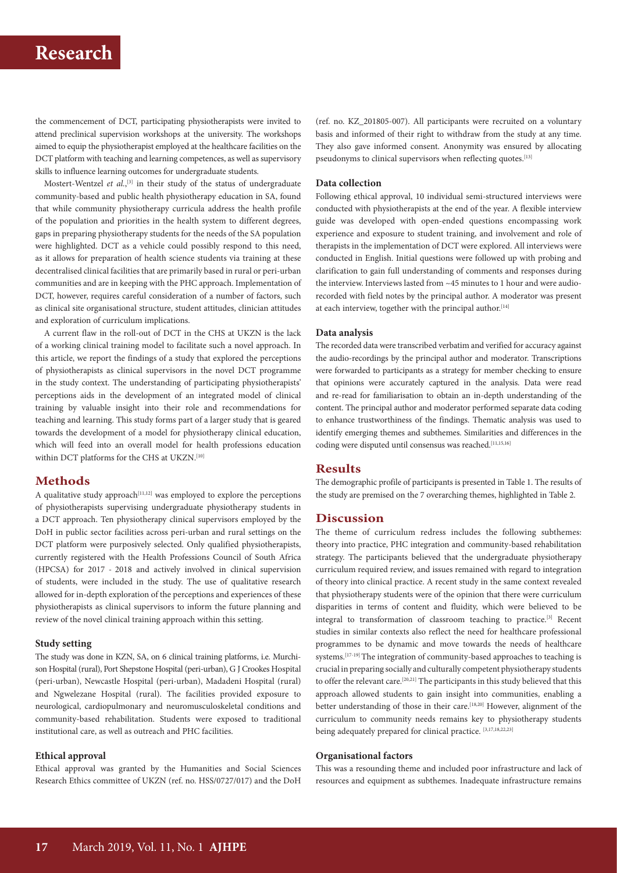# **Research**

the commencement of DCT, participating physiotherapists were invited to attend preclinical supervision workshops at the university. The workshops aimed to equip the physiotherapist employed at the healthcare facilities on the DCT platform with teaching and learning competences, as well as supervisory skills to influence learning outcomes for undergraduate students.

Mostert-Wentzel *et al.*,<sup>[3]</sup> in their study of the status of undergraduate community-based and public health physiotherapy education in SA, found that while community physiotherapy curricula address the health profile of the population and priorities in the health system to different degrees, gaps in preparing physiotherapy students for the needs of the SA population were highlighted. DCT as a vehicle could possibly respond to this need, as it allows for preparation of health science students via training at these decentralised clinical facilities that are primarily based in rural or peri-urban communities and are in keeping with the PHC approach. Implementation of DCT, however, requires careful consideration of a number of factors, such as clinical site organisational structure, student attitudes, clinician attitudes and exploration of curriculum implications.

A current flaw in the roll-out of DCT in the CHS at UKZN is the lack of a working clinical training model to facilitate such a novel approach. In this article, we report the findings of a study that explored the perceptions of physiotherapists as clinical supervisors in the novel DCT programme in the study context. The understanding of participating physiotherapists' perceptions aids in the development of an integrated model of clinical training by valuable insight into their role and recommendations for teaching and learning. This study forms part of a larger study that is geared towards the development of a model for physiotherapy clinical education, which will feed into an overall model for health professions education within DCT platforms for the CHS at UKZN.<sup>[10]</sup>

# **Methods**

A qualitative study approach<sup>[11,12]</sup> was employed to explore the perceptions of physiotherapists supervising undergraduate physiotherapy students in a DCT approach. Ten physiotherapy clinical supervisors employed by the DoH in public sector facilities across peri-urban and rural settings on the DCT platform were purposively selected. Only qualified physiotherapists, currently registered with the Health Professions Council of South Africa (HPCSA) for 2017 - 2018 and actively involved in clinical supervision of students, were included in the study. The use of qualitative research allowed for in-depth exploration of the perceptions and experiences of these physiotherapists as clinical supervisors to inform the future planning and review of the novel clinical training approach within this setting.

## **Study setting**

The study was done in KZN, SA, on 6 clinical training platforms, i.e. Murchison Hospital (rural), Port Shepstone Hospital (peri-urban), G J Crookes Hospital (peri-urban), Newcastle Hospital (peri-urban), Madadeni Hospital (rural) and Ngwelezane Hospital (rural). The facilities provided exposure to neurological, cardiopulmonary and neuromusculoskeletal conditions and community-based rehabilitation. Students were exposed to traditional institutional care, as well as outreach and PHC facilities.

## **Ethical approval**

Ethical approval was granted by the Humanities and Social Sciences Research Ethics committee of UKZN (ref. no. HSS/0727/017) and the DoH

(ref. no. KZ\_201805-007). All participants were recruited on a voluntary basis and informed of their right to withdraw from the study at any time. They also gave informed consent. Anonymity was ensured by allocating pseudonyms to clinical supervisors when reflecting quotes.<sup>[13]</sup>

#### **Data collection**

Following ethical approval, 10 individual semi-structured interviews were conducted with physiotherapists at the end of the year. A flexible interview guide was developed with open-ended questions encompassing work experience and exposure to student training, and involvement and role of therapists in the implementation of DCT were explored. All interviews were conducted in English. Initial questions were followed up with probing and clarification to gain full understanding of comments and responses during the interview. Interviews lasted from ~45 minutes to 1 hour and were audiorecorded with field notes by the principal author. A moderator was present at each interview, together with the principal author.<sup>[14]</sup>

# **Data analysis**

The recorded data were transcribed verbatim and verified for accuracy against the audio-recordings by the principal author and moderator. Transcriptions were forwarded to participants as a strategy for member checking to ensure that opinions were accurately captured in the analysis. Data were read and re-read for familiarisation to obtain an in-depth understanding of the content. The principal author and moderator performed separate data coding to enhance trustworthiness of the findings. Thematic analysis was used to identify emerging themes and subthemes. Similarities and differences in the coding were disputed until consensus was reached.<sup>[11,15,16]</sup>

# **Results**

The demographic profile of participants is presented in Table 1. The results of the study are premised on the 7 overarching themes, highlighted in Table 2.

# **Discussion**

The theme of curriculum redress includes the following subthemes: theory into practice, PHC integration and community-based rehabilitation strategy. The participants believed that the undergraduate physiotherapy curriculum required review, and issues remained with regard to integration of theory into clinical practice. A recent study in the same context revealed that physiotherapy students were of the opinion that there were curriculum disparities in terms of content and fluidity, which were believed to be integral to transformation of classroom teaching to practice.[3] Recent studies in similar contexts also reflect the need for healthcare professional programmes to be dynamic and move towards the needs of healthcare systems.<sup>[17-19]</sup> The integration of community-based approaches to teaching is crucial in preparing socially and culturally competent physiotherapy students to offer the relevant care.[20,21] The participants in this study believed that this approach allowed students to gain insight into communities, enabling a better understanding of those in their care.<sup>[18,20]</sup> However, alignment of the curriculum to community needs remains key to physiotherapy students being adequately prepared for clinical practice. [3,17,18,22,23]

### **Organisational factors**

This was a resounding theme and included poor infrastructure and lack of resources and equipment as subthemes. Inadequate infrastructure remains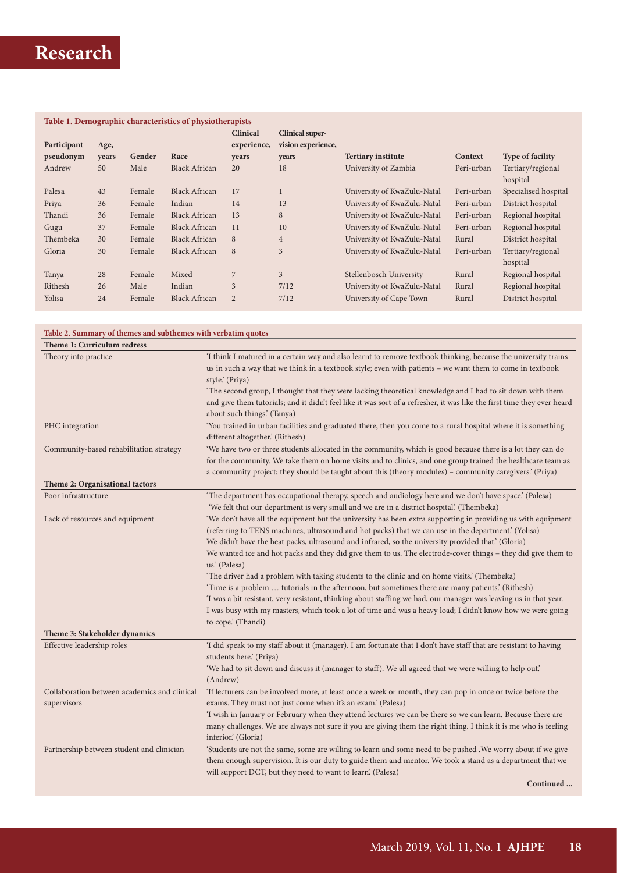| Table 1. Demographic characteristics of physiotherapists |       |        |                      |                |                        |                             |            |                               |
|----------------------------------------------------------|-------|--------|----------------------|----------------|------------------------|-----------------------------|------------|-------------------------------|
|                                                          |       |        |                      | Clinical       | <b>Clinical super-</b> |                             |            |                               |
| Participant                                              | Age,  |        |                      | experience,    | vision experience,     |                             |            |                               |
| pseudonym                                                | years | Gender | Race                 | years          | years                  | <b>Tertiary institute</b>   | Context    | <b>Type of facility</b>       |
| Andrew                                                   | 50    | Male   | <b>Black African</b> | 20             | 18                     | University of Zambia        | Peri-urban | Tertiary/regional<br>hospital |
| Palesa                                                   | 43    | Female | <b>Black African</b> | 17             |                        | University of KwaZulu-Natal | Peri-urban | Specialised hospital          |
| Priya                                                    | 36    | Female | Indian               | 14             | 13                     | University of KwaZulu-Natal | Peri-urban | District hospital             |
| Thandi                                                   | 36    | Female | <b>Black African</b> | 13             | 8                      | University of KwaZulu-Natal | Peri-urban | Regional hospital             |
| Gugu                                                     | 37    | Female | <b>Black African</b> | 11             | 10                     | University of KwaZulu-Natal | Peri-urban | Regional hospital             |
| Thembeka                                                 | 30    | Female | <b>Black African</b> | 8              | $\overline{4}$         | University of KwaZulu-Natal | Rural      | District hospital             |
| Gloria                                                   | 30    | Female | <b>Black African</b> | 8              | 3                      | University of KwaZulu-Natal | Peri-urban | Tertiary/regional<br>hospital |
| Tanya                                                    | 28    | Female | Mixed                |                | $\overline{3}$         | Stellenbosch University     | Rural      | Regional hospital             |
| Rithesh                                                  | 26    | Male   | Indian               | 3              | 7/12                   | University of KwaZulu-Natal | Rural      | Regional hospital             |
| Yolisa                                                   | 24    | Female | <b>Black African</b> | $\overline{2}$ | 7/12                   | University of Cape Town     | Rural      | District hospital             |

# **Table 2. Summary of themes and subthemes with verbatim quotes**

| Theme 1: Curriculum redress                  |                                                                                                                                                                                                                                                                                                                                                                                                                                                           |  |  |  |
|----------------------------------------------|-----------------------------------------------------------------------------------------------------------------------------------------------------------------------------------------------------------------------------------------------------------------------------------------------------------------------------------------------------------------------------------------------------------------------------------------------------------|--|--|--|
| Theory into practice                         | 'I think I matured in a certain way and also learnt to remove textbook thinking, because the university trains<br>us in such a way that we think in a textbook style; even with patients - we want them to come in textbook<br>style.' (Priya)                                                                                                                                                                                                            |  |  |  |
|                                              | 'The second group, I thought that they were lacking theoretical knowledge and I had to sit down with them<br>and give them tutorials; and it didn't feel like it was sort of a refresher, it was like the first time they ever heard<br>about such things.' (Tanya)                                                                                                                                                                                       |  |  |  |
| PHC integration                              | You trained in urban facilities and graduated there, then you come to a rural hospital where it is something<br>different altogether.' (Rithesh)                                                                                                                                                                                                                                                                                                          |  |  |  |
| Community-based rehabilitation strategy      | 'We have two or three students allocated in the community, which is good because there is a lot they can do<br>for the community. We take them on home visits and to clinics, and one group trained the healthcare team as<br>a community project; they should be taught about this (theory modules) – community caregivers.' (Priya)                                                                                                                     |  |  |  |
| Theme 2: Organisational factors              |                                                                                                                                                                                                                                                                                                                                                                                                                                                           |  |  |  |
| Poor infrastructure                          | 'The department has occupational therapy, speech and audiology here and we don't have space.' (Palesa)<br>'We felt that our department is very small and we are in a district hospital.' (Thembeka)                                                                                                                                                                                                                                                       |  |  |  |
| Lack of resources and equipment              | 'We don't have all the equipment but the university has been extra supporting in providing us with equipment<br>(referring to TENS machines, ultrasound and hot packs) that we can use in the department. (Yolisa)<br>We didn't have the heat packs, ultrasound and infrared, so the university provided that.' (Gloria)<br>We wanted ice and hot packs and they did give them to us. The electrode-cover things – they did give them to<br>us.' (Palesa) |  |  |  |
|                                              | 'The driver had a problem with taking students to the clinic and on home visits.' (Thembeka)                                                                                                                                                                                                                                                                                                                                                              |  |  |  |
|                                              | 'Time is a problem  tutorials in the afternoon, but sometimes there are many patients.' (Rithesh)                                                                                                                                                                                                                                                                                                                                                         |  |  |  |
|                                              | 'I was a bit resistant, very resistant, thinking about staffing we had, our manager was leaving us in that year.<br>I was busy with my masters, which took a lot of time and was a heavy load; I didn't know how we were going<br>to cope.' (Thandi)                                                                                                                                                                                                      |  |  |  |
| Theme 3: Stakeholder dynamics                |                                                                                                                                                                                                                                                                                                                                                                                                                                                           |  |  |  |
| Effective leadership roles                   | 'I did speak to my staff about it (manager). I am fortunate that I don't have staff that are resistant to having<br>students here.' (Priya)                                                                                                                                                                                                                                                                                                               |  |  |  |
|                                              | 'We had to sit down and discuss it (manager to staff). We all agreed that we were willing to help out.'<br>(Andrew)                                                                                                                                                                                                                                                                                                                                       |  |  |  |
| Collaboration between academics and clinical | 'If lecturers can be involved more, at least once a week or month, they can pop in once or twice before the                                                                                                                                                                                                                                                                                                                                               |  |  |  |
| supervisors                                  | exams. They must not just come when it's an exam.' (Palesa)                                                                                                                                                                                                                                                                                                                                                                                               |  |  |  |
|                                              | 'I wish in January or February when they attend lectures we can be there so we can learn. Because there are<br>many challenges. We are always not sure if you are giving them the right thing. I think it is me who is feeling<br>inferior. (Gloria)                                                                                                                                                                                                      |  |  |  |
| Partnership between student and clinician    | 'Students are not the same, some are willing to learn and some need to be pushed . We worry about if we give<br>them enough supervision. It is our duty to guide them and mentor. We took a stand as a department that we<br>will support DCT, but they need to want to learn'. (Palesa)                                                                                                                                                                  |  |  |  |
|                                              | Continued                                                                                                                                                                                                                                                                                                                                                                                                                                                 |  |  |  |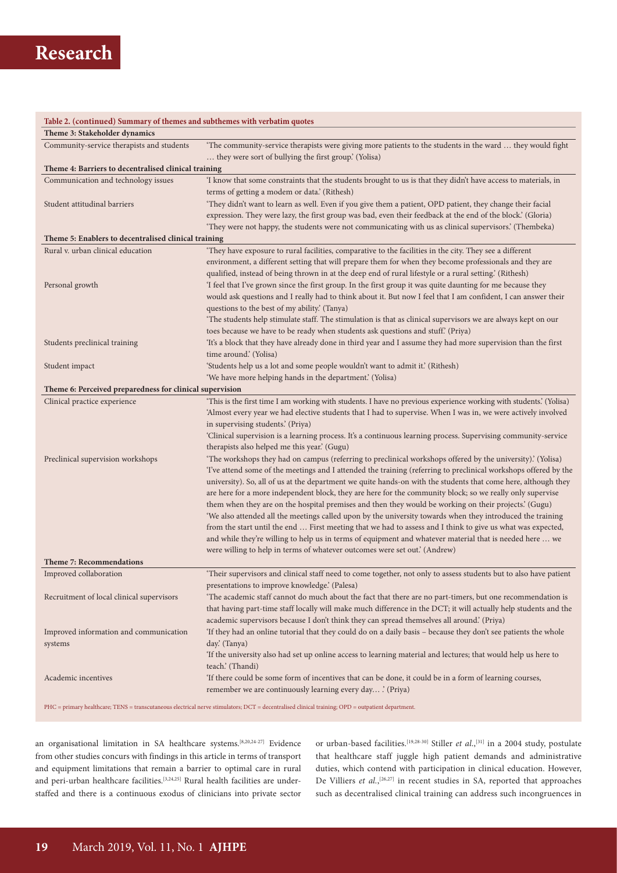# **Research**

| Table 2. (continued) Summary of themes and subthemes with verbatim quotes |                                                                                                                                                    |  |  |  |  |  |  |
|---------------------------------------------------------------------------|----------------------------------------------------------------------------------------------------------------------------------------------------|--|--|--|--|--|--|
| Theme 3: Stakeholder dynamics                                             |                                                                                                                                                    |  |  |  |  |  |  |
| Community-service therapists and students                                 | 'The community-service therapists were giving more patients to the students in the ward  they would fight                                          |  |  |  |  |  |  |
|                                                                           | they were sort of bullying the first group.' (Yolisa)                                                                                              |  |  |  |  |  |  |
| Theme 4: Barriers to decentralised clinical training                      |                                                                                                                                                    |  |  |  |  |  |  |
| Communication and technology issues                                       | 'I know that some constraints that the students brought to us is that they didn't have access to materials, in                                     |  |  |  |  |  |  |
|                                                                           | terms of getting a modem or data.' (Rithesh)                                                                                                       |  |  |  |  |  |  |
| Student attitudinal barriers                                              | 'They didn't want to learn as well. Even if you give them a patient, OPD patient, they change their facial                                         |  |  |  |  |  |  |
|                                                                           | expression. They were lazy, the first group was bad, even their feedback at the end of the block' (Gloria)                                         |  |  |  |  |  |  |
|                                                                           | 'They were not happy, the students were not communicating with us as clinical supervisors.' (Thembeka)                                             |  |  |  |  |  |  |
| Theme 5: Enablers to decentralised clinical training                      |                                                                                                                                                    |  |  |  |  |  |  |
| Rural v. urban clinical education                                         | 'They have exposure to rural facilities, comparative to the facilities in the city. They see a different                                           |  |  |  |  |  |  |
|                                                                           | environment, a different setting that will prepare them for when they become professionals and they are                                            |  |  |  |  |  |  |
|                                                                           | qualified, instead of being thrown in at the deep end of rural lifestyle or a rural setting.' (Rithesh)                                            |  |  |  |  |  |  |
| Personal growth                                                           | 'I feel that I've grown since the first group. In the first group it was quite daunting for me because they                                        |  |  |  |  |  |  |
|                                                                           | would ask questions and I really had to think about it. But now I feel that I am confident, I can answer their                                     |  |  |  |  |  |  |
|                                                                           | questions to the best of my ability.' (Tanya)                                                                                                      |  |  |  |  |  |  |
|                                                                           | 'The students help stimulate staff. The stimulation is that as clinical supervisors we are always kept on our                                      |  |  |  |  |  |  |
|                                                                           | toes because we have to be ready when students ask questions and stuff. (Priya)                                                                    |  |  |  |  |  |  |
| Students preclinical training                                             | 'It's a block that they have already done in third year and I assume they had more supervision than the first                                      |  |  |  |  |  |  |
|                                                                           | time around.' (Yolisa)                                                                                                                             |  |  |  |  |  |  |
| Student impact                                                            | 'Students help us a lot and some people wouldn't want to admit it.' (Rithesh)                                                                      |  |  |  |  |  |  |
|                                                                           | 'We have more helping hands in the department.' (Yolisa)                                                                                           |  |  |  |  |  |  |
| Theme 6: Perceived preparedness for clinical supervision                  |                                                                                                                                                    |  |  |  |  |  |  |
| Clinical practice experience                                              | 'This is the first time I am working with students. I have no previous experience working with students' (Yolisa)                                  |  |  |  |  |  |  |
|                                                                           | 'Almost every year we had elective students that I had to supervise. When I was in, we were actively involved<br>in supervising students.' (Priya) |  |  |  |  |  |  |
|                                                                           | 'Clinical supervision is a learning process. It's a continuous learning process. Supervising community-service                                     |  |  |  |  |  |  |
|                                                                           | therapists also helped me this year.' (Gugu)                                                                                                       |  |  |  |  |  |  |
| Preclinical supervision workshops                                         | 'The workshops they had on campus (referring to preclinical workshops offered by the university)' (Yolisa)                                         |  |  |  |  |  |  |
|                                                                           | Tve attend some of the meetings and I attended the training (referring to preclinical workshops offered by the                                     |  |  |  |  |  |  |
|                                                                           | university). So, all of us at the department we quite hands-on with the students that come here, although they                                     |  |  |  |  |  |  |
|                                                                           | are here for a more independent block, they are here for the community block; so we really only supervise                                          |  |  |  |  |  |  |
|                                                                           | them when they are on the hospital premises and then they would be working on their projects.' (Gugu)                                              |  |  |  |  |  |  |
|                                                                           | 'We also attended all the meetings called upon by the university towards when they introduced the training                                         |  |  |  |  |  |  |
|                                                                           | from the start until the end  First meeting that we had to assess and I think to give us what was expected,                                        |  |  |  |  |  |  |
|                                                                           | and while they're willing to help us in terms of equipment and whatever material that is needed here  we                                           |  |  |  |  |  |  |
|                                                                           | were willing to help in terms of whatever outcomes were set out.' (Andrew)                                                                         |  |  |  |  |  |  |
| <b>Theme 7: Recommendations</b>                                           |                                                                                                                                                    |  |  |  |  |  |  |
| Improved collaboration                                                    | 'Their supervisors and clinical staff need to come together, not only to assess students but to also have patient                                  |  |  |  |  |  |  |
|                                                                           | presentations to improve knowledge.' (Palesa)                                                                                                      |  |  |  |  |  |  |
| Recruitment of local clinical supervisors                                 | The academic staff cannot do much about the fact that there are no part-timers, but one recommendation is                                          |  |  |  |  |  |  |
|                                                                           | that having part-time staff locally will make much difference in the DCT; it will actually help students and the                                   |  |  |  |  |  |  |
|                                                                           | academic supervisors because I don't think they can spread themselves all around.' (Priya)                                                         |  |  |  |  |  |  |
| Improved information and communication                                    | 'If they had an online tutorial that they could do on a daily basis – because they don't see patients the whole                                    |  |  |  |  |  |  |
| systems                                                                   | day. (Tanya)                                                                                                                                       |  |  |  |  |  |  |
|                                                                           | 'If the university also had set up online access to learning material and lectures; that would help us here to<br>teach.' (Thandi)                 |  |  |  |  |  |  |
| Academic incentives                                                       | 'If there could be some form of incentives that can be done, it could be in a form of learning courses,                                            |  |  |  |  |  |  |
|                                                                           | remember we are continuously learning every day ' (Priya)                                                                                          |  |  |  |  |  |  |
|                                                                           | PHC = primary healthcare; TENS = transcutaneous electrical nerve stimulators; DCT = decentralised clinical training; OPD = outpatient department.  |  |  |  |  |  |  |

an organisational limitation in SA healthcare systems.[8,20,24-27] Evidence from other studies concurs with findings in this article in terms of transport and equipment limitations that remain a barrier to optimal care in rural and peri-urban healthcare facilities.<sup>[3,24,25]</sup> Rural health facilities are understaffed and there is a continuous exodus of clinicians into private sector or urban-based facilities.[19,28-30] Stiller *et al*.,[31] in a 2004 study, postulate that healthcare staff juggle high patient demands and administrative duties, which contend with participation in clinical education. However, De Villiers et al.,<sup>[26,27]</sup> in recent studies in SA, reported that approaches such as decentralised clinical training can address such incongruences in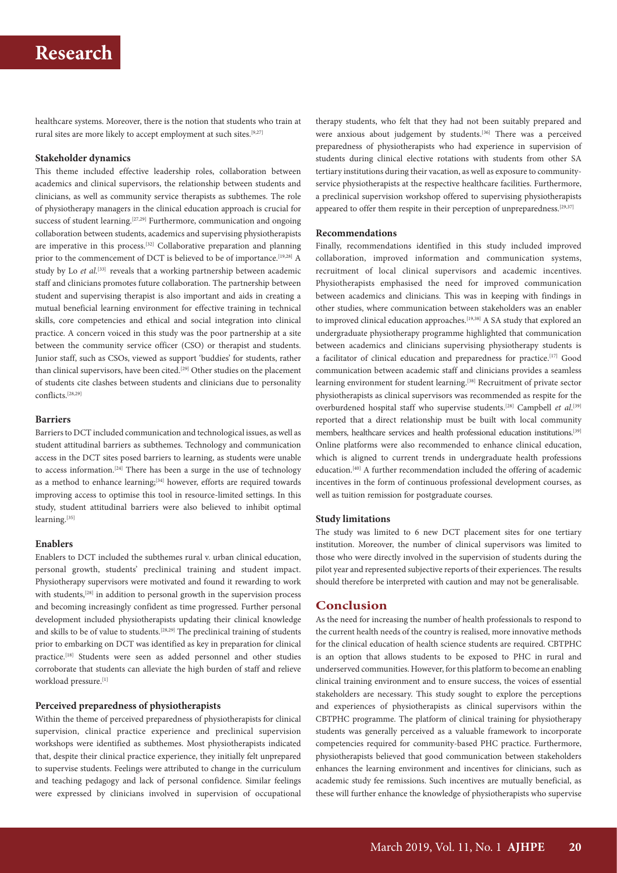healthcare systems. Moreover, there is the notion that students who train at rural sites are more likely to accept employment at such sites.[9,27]

## **Stakeholder dynamics**

This theme included effective leadership roles, collaboration between academics and clinical supervisors, the relationship between students and clinicians, as well as community service therapists as subthemes. The role of physiotherapy managers in the clinical education approach is crucial for success of student learning.<sup>[27,29]</sup> Furthermore, communication and ongoing collaboration between students, academics and supervising physiotherapists are imperative in this process.[32] Collaborative preparation and planning prior to the commencement of DCT is believed to be of importance.<sup>[19,28]</sup> A study by Lo *et al.*<sup>[33]</sup> reveals that a working partnership between academic staff and clinicians promotes future collaboration. The partnership between student and supervising therapist is also important and aids in creating a mutual beneficial learning environment for effective training in technical skills, core competencies and ethical and social integration into clinical practice. A concern voiced in this study was the poor partnership at a site between the community service officer (CSO) or therapist and students. Junior staff, such as CSOs, viewed as support 'buddies' for students, rather than clinical supervisors, have been cited.<sup>[29]</sup> Other studies on the placement of students cite clashes between students and clinicians due to personality conflicts.[28,29]

## **Barriers**

Barriers to DCT included communication and technological issues, as well as student attitudinal barriers as subthemes. Technology and communication access in the DCT sites posed barriers to learning, as students were unable to access information.<sup>[24]</sup> There has been a surge in the use of technology as a method to enhance learning;<sup>[34]</sup> however, efforts are required towards improving access to optimise this tool in resource-limited settings. In this study, student attitudinal barriers were also believed to inhibit optimal learning.<sup>[35]</sup>

### **Enablers**

Enablers to DCT included the subthemes rural v. urban clinical education, personal growth, students' preclinical training and student impact. Physiotherapy supervisors were motivated and found it rewarding to work with students,<sup>[28]</sup> in addition to personal growth in the supervision process and becoming increasingly confident as time progressed. Further personal development included physiotherapists updating their clinical knowledge and skills to be of value to students.[28,29] The preclinical training of students prior to embarking on DCT was identified as key in preparation for clinical practice.[18] Students were seen as added personnel and other studies corroborate that students can alleviate the high burden of staff and relieve workload pressure.[1]

# **Perceived preparedness of physiotherapists**

Within the theme of perceived preparedness of physiotherapists for clinical supervision, clinical practice experience and preclinical supervision workshops were identified as subthemes. Most physiotherapists indicated that, despite their clinical practice experience, they initially felt unprepared to supervise students. Feelings were attributed to change in the curriculum and teaching pedagogy and lack of personal confidence. Similar feelings were expressed by clinicians involved in supervision of occupational therapy students, who felt that they had not been suitably prepared and were anxious about judgement by students.<sup>[36]</sup> There was a perceived preparedness of physiotherapists who had experience in supervision of students during clinical elective rotations with students from other SA tertiary institutions during their vacation, as well as exposure to communityservice physiotherapists at the respective healthcare facilities. Furthermore, a preclinical supervision workshop offered to supervising physiotherapists appeared to offer them respite in their perception of unpreparedness.<sup>[29,37]</sup>

### **Recommendations**

Finally, recommendations identified in this study included improved collaboration, improved information and communication systems, recruitment of local clinical supervisors and academic incentives. Physiotherapists emphasised the need for improved communication between academics and clinicians. This was in keeping with findings in other studies, where communication between stakeholders was an enabler to improved clinical education approaches.<sup>[19,38]</sup> A SA study that explored an undergraduate physiotherapy programme highlighted that communication between academics and clinicians supervising physiotherapy students is a facilitator of clinical education and preparedness for practice.[17] Good communication between academic staff and clinicians provides a seamless learning environment for student learning.<sup>[38]</sup> Recruitment of private sector physiotherapists as clinical supervisors was recommended as respite for the overburdened hospital staff who supervise students.<sup>[28]</sup> Campbell *et al.*<sup>[39]</sup> reported that a direct relationship must be built with local community members, healthcare services and health professional education institutions.<sup>[39]</sup> Online platforms were also recommended to enhance clinical education, which is aligned to current trends in undergraduate health professions education.[40] A further recommendation included the offering of academic incentives in the form of continuous professional development courses, as well as tuition remission for postgraduate courses.

### **Study limitations**

The study was limited to 6 new DCT placement sites for one tertiary institution. Moreover, the number of clinical supervisors was limited to those who were directly involved in the supervision of students during the pilot year and represented subjective reports of their experiences. The results should therefore be interpreted with caution and may not be generalisable.

# **Conclusion**

As the need for increasing the number of health professionals to respond to the current health needs of the country is realised, more innovative methods for the clinical education of health science students are required. CBTPHC is an option that allows students to be exposed to PHC in rural and underserved communities. However, for this platform to become an enabling clinical training environment and to ensure success, the voices of essential stakeholders are necessary. This study sought to explore the perceptions and experiences of physiotherapists as clinical supervisors within the CBTPHC programme. The platform of clinical training for physiotherapy students was generally perceived as a valuable framework to incorporate competencies required for community-based PHC practice. Furthermore, physiotherapists believed that good communication between stakeholders enhances the learning environment and incentives for clinicians, such as academic study fee remissions. Such incentives are mutually beneficial, as these will further enhance the knowledge of physiotherapists who supervise